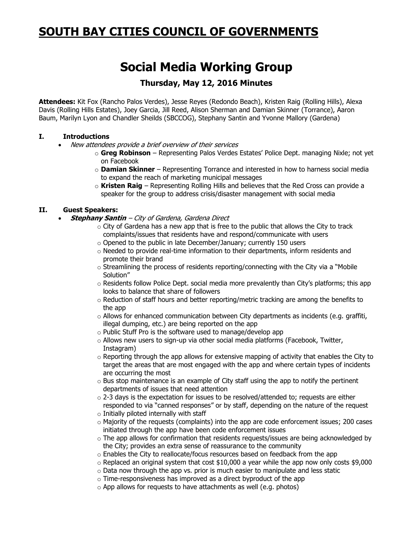## **SOUTH BAY CITIES COUNCIL OF GOVERNMENTS**

# **Social Media Working Group**

### **Thursday, May 12, 2016 Minutes**

**Attendees:** Kit Fox (Rancho Palos Verdes), Jesse Reyes (Redondo Beach), Kristen Raig (Rolling Hills), Alexa Davis (Rolling Hills Estates), Joey Garcia, Jill Reed, Alison Sherman and Damian Skinner (Torrance), Aaron Baum, Marilyn Lyon and Chandler Sheilds (SBCCOG), Stephany Santin and Yvonne Mallory (Gardena)

#### **I. Introductions**

- New attendees provide a brief overview of their services
	- o **Greg Robinson** Representing Palos Verdes Estates' Police Dept. managing Nixle; not yet on Facebook
	- o **Damian Skinner** Representing Torrance and interested in how to harness social media to expand the reach of marketing municipal messages
	- o **Kristen Raig** Representing Rolling Hills and believes that the Red Cross can provide a speaker for the group to address crisis/disaster management with social media

#### **II. Guest Speakers:**

- **Stephany Santin** City of Gardena, Gardena Direct
	- $\circ$  City of Gardena has a new app that is free to the public that allows the City to track complaints/issues that residents have and respond/communicate with users
	- o Opened to the public in late December/January; currently 150 users
	- $\circ$  Needed to provide real-time information to their departments, inform residents and promote their brand
	- $\circ$  Streamlining the process of residents reporting/connecting with the City via a "Mobile Solution"
	- $\circ$  Residents follow Police Dept. social media more prevalently than City's platforms; this app looks to balance that share of followers
	- $\circ$  Reduction of staff hours and better reporting/metric tracking are among the benefits to the app
	- $\circ$  Allows for enhanced communication between City departments as incidents (e.g. graffiti, illegal dumping, etc.) are being reported on the app
	- o Public Stuff Pro is the software used to manage/develop app
	- o Allows new users to sign-up via other social media platforms (Facebook, Twitter, Instagram)
	- $\circ$  Reporting through the app allows for extensive mapping of activity that enables the City to target the areas that are most engaged with the app and where certain types of incidents are occurring the most
	- $\circ$  Bus stop maintenance is an example of City staff using the app to notify the pertinent departments of issues that need attention
	- $\circ$  2-3 days is the expectation for issues to be resolved/attended to; requests are either responded to via "canned responses" or by staff, depending on the nature of the request
	- $\circ$  Initially piloted internally with staff
	- $\circ$  Majority of the requests (complaints) into the app are code enforcement issues; 200 cases initiated through the app have been code enforcement issues
	- $\circ$  The app allows for confirmation that residents requests/issues are being acknowledged by the City; provides an extra sense of reassurance to the community
	- $\circ$  Enables the City to reallocate/focus resources based on feedback from the app
	- $\circ$  Replaced an original system that cost \$10,000 a year while the app now only costs \$9,000
	- o Data now through the app vs. prior is much easier to manipulate and less static
	- o Time-responsiveness has improved as a direct byproduct of the app
	- o App allows for requests to have attachments as well (e.g. photos)